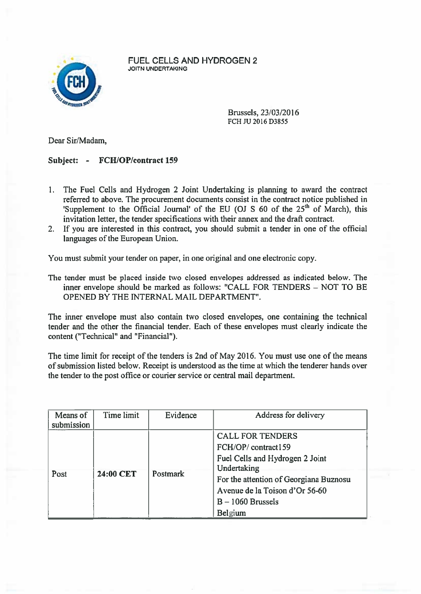

FUEL CELLS AND HYDROGEN 2 JOITN UNDERTAKING

> Brussels, 23/03/2016 FCH JU 2016 D3855

Dear Sir/Madam,

## Subject: - FCH/OP/contract 159

- I. The Fuel Cells and Hydrogen 2 Joint Undertaking is planning to award the contract referred to above. The procuremen<sup>t</sup> documents consist in the contract notice published in 'Supplement to the Official Journal' of the EU (OJ S 60 of the  $25<sup>th</sup>$  of March), this invitation letter, the tender specifications with their annex and the draft contract.
- 2. If you are interested in this contract, you should submit <sup>a</sup> tender in one of the official languages of the European Union.

You must submit your tender on paper, in one original and one electronic copy.

The tender must be placed inside two closed envelopes addressed as indicated below. The inner envelope should be marked as follows: "CALL FOR TENDERS — NOT TO BE OPENED BY THE INTERNAL MAIL DEPARTMENT".

The inner envelope must also contain two closed envelopes, one containing the technical tender and the other the financial tender. Each of these envelopes must clearly indicate the content ("Technical" and "Financial").

The time limit for receipt of the tenders is 2nd of May 2016. You must use one of the means of submission listed below. Receipt is understood as the time at which the tenderer hands over the tender to the pos<sup>t</sup> office or courier service or central mail department.

| Means of<br>submission | Time limit | Evidence | Address for delivery                                                                                                                                                                                          |
|------------------------|------------|----------|---------------------------------------------------------------------------------------------------------------------------------------------------------------------------------------------------------------|
| Post                   | 24:00 CET  | Postmark | <b>CALL FOR TENDERS</b><br>FCH/OP/contract159<br>Fuel Cells and Hydrogen 2 Joint<br>Undertaking<br>For the attention of Georgiana Buznosu<br>Avenue de la Toison d'Or 56-60<br>$B - 1060$ Brussels<br>Belgium |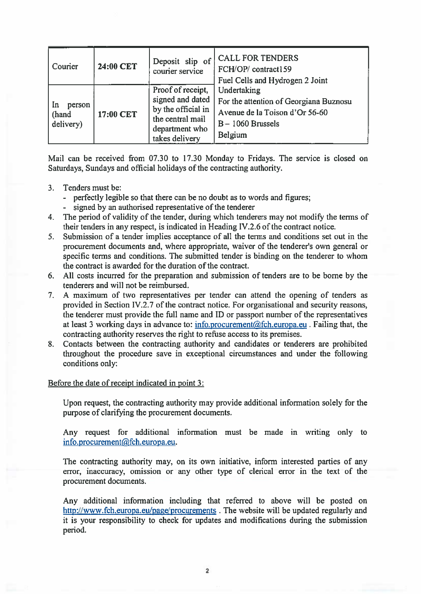| Courier                              | 24:00 CET | Deposit slip of<br>courier service                                                                                  | <b>CALL FOR TENDERS</b><br>FCH/OP/contract159<br>Fuel Cells and Hydrogen 2 Joint                                          |
|--------------------------------------|-----------|---------------------------------------------------------------------------------------------------------------------|---------------------------------------------------------------------------------------------------------------------------|
| In<br>person<br>  (hand<br>delivery) | 17:00 CET | Proof of receipt,<br>signed and dated<br>by the official in<br>the central mail<br>department who<br>takes delivery | Undertaking<br>For the attention of Georgiana Buznosu<br>Avenue de la Toison d'Or 56-60<br>$B - 1060$ Brussels<br>Belgium |

Mail can be received from 07.30 to 17.30 Monday to Fridays. The service is closed on Saturdays, Sundays and official holidays of the contracting authority.

## 3. Tenders must be:

- perfectly legible so that there can be no doubt as to words and figures;
- signed by an authorised representative of the tenderer
- 4. The period of validity of the tender, during which tenderers may not modify the terms of their tenders in any respect, is indicated in Heading IV.2.6 of the contract notice.
- 5. Submission of <sup>a</sup> tender implies acceptance of all the terms and conditions set out in the procurement documents and, where appropriate, waiver of the tenderer's own general or specific terms and conditions. The submitted tender is binding on the tenderer to whom the contract is awarded for the duration of the contract.
- 6. All costs incurred for the preparation and submission of tenders are to be borne by the tenderers and will not be reimbursed.
- 7. A maximum of two representatives per tender can attend the opening of tenders as provided in Section IV.2.7 of the contract notice. For organisational and security reasons, the tenderer must provide the full name and ID or passpor<sup>t</sup> number of the representatives at least 3 working days in advance to: info.procurement@fch.europa.eu . Failing that, the contracting authority reserves the right to refuse access to its premises.
- 8. Contacts between the contracting authority and candidates or tenderers are prohibited throughout the procedure save in exceptional circumstances and under the following conditions only:

## Before the date of receipt indicated in point 3:

Upon request, the contracting authority may provide additional information solely for the purpose of clarifying the procuremen<sup>t</sup> documents.

Any reques<sup>t</sup> for additional information must be made in writing only to info.procurement@fch.europa.eu.

The contracting authority may, on its own initiative, inform interested parties of any error, inaccuracy, omission or any other type of clerical error in the text of the procuremen<sup>t</sup> documents.

Any additional information including that referred to above will be posted on http://www.fch.europa.eu/page/procurements . The website will be updated regularly and it is your responsibility to check for updates and modifications during the submission period.